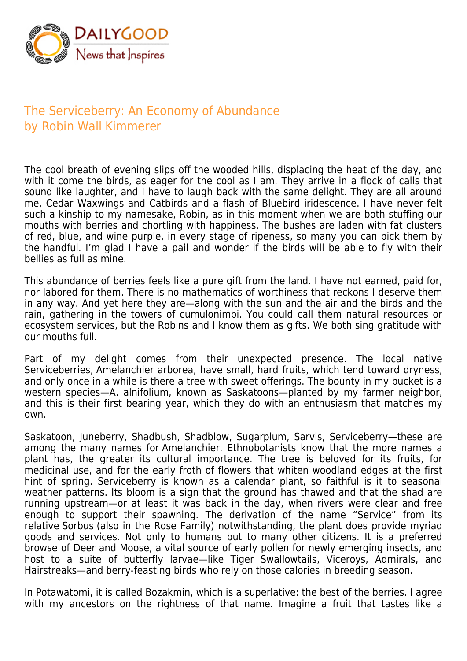

## The Serviceberry: An Economy of Abundance by Robin Wall Kimmerer

The cool breath of evening slips off the wooded hills, displacing the heat of the day, and with it come the birds, as eager for the cool as I am. They arrive in a flock of calls that sound like laughter, and I have to laugh back with the same delight. They are all around me, Cedar Waxwings and Catbirds and a flash of Bluebird iridescence. I have never felt such a kinship to my namesake, Robin, as in this moment when we are both stuffing our mouths with berries and chortling with happiness. The bushes are laden with fat clusters of red, blue, and wine purple, in every stage of ripeness, so many you can pick them by the handful. I'm glad I have a pail and wonder if the birds will be able to fly with their bellies as full as mine.

This abundance of berries feels like a pure gift from the land. I have not earned, paid for, nor labored for them. There is no mathematics of worthiness that reckons I deserve them in any way. And yet here they are—along with the sun and the air and the birds and the rain, gathering in the towers of cumulonimbi. You could call them natural resources or ecosystem services, but the Robins and I know them as gifts. We both sing gratitude with our mouths full.

Part of my delight comes from their unexpected presence. The local native Serviceberries, Amelanchier arborea, have small, hard fruits, which tend toward dryness, and only once in a while is there a tree with sweet offerings. The bounty in my bucket is a western species—A. alnifolium, known as Saskatoons—planted by my farmer neighbor, and this is their first bearing year, which they do with an enthusiasm that matches my own.

Saskatoon, Juneberry, Shadbush, Shadblow, Sugarplum, Sarvis, Serviceberry—these are among the many names for Amelanchier. Ethnobotanists know that the more names a plant has, the greater its cultural importance. The tree is beloved for its fruits, for medicinal use, and for the early froth of flowers that whiten woodland edges at the first hint of spring. Serviceberry is known as a calendar plant, so faithful is it to seasonal weather patterns. Its bloom is a sign that the ground has thawed and that the shad are running upstream—or at least it was back in the day, when rivers were clear and free enough to support their spawning. The derivation of the name "Service" from its relative Sorbus (also in the Rose Family) notwithstanding, the plant does provide myriad goods and services. Not only to humans but to many other citizens. It is a preferred browse of Deer and Moose, a vital source of early pollen for newly emerging insects, and host to a suite of butterfly larvae—like Tiger Swallowtails, Viceroys, Admirals, and Hairstreaks—and berry-feasting birds who rely on those calories in breeding season.

In Potawatomi, it is called Bozakmin, which is a superlative: the best of the berries. I agree with my ancestors on the rightness of that name. Imagine a fruit that tastes like a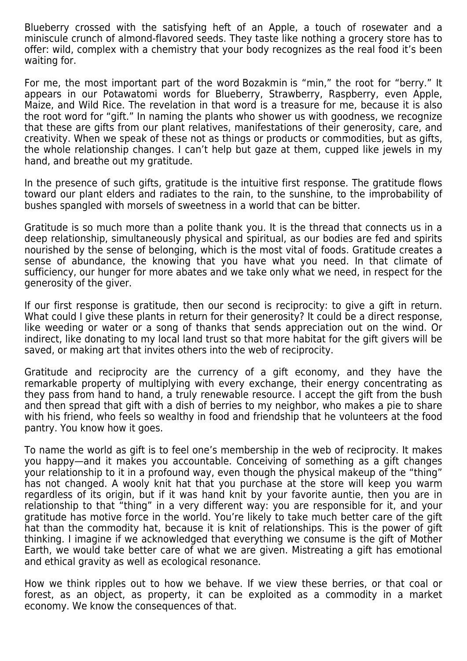Blueberry crossed with the satisfying heft of an Apple, a touch of rosewater and a miniscule crunch of almond-flavored seeds. They taste like nothing a grocery store has to offer: wild, complex with a chemistry that your body recognizes as the real food it's been waiting for.

For me, the most important part of the word Bozakmin is "min," the root for "berry." It appears in our Potawatomi words for Blueberry, Strawberry, Raspberry, even Apple, Maize, and Wild Rice. The revelation in that word is a treasure for me, because it is also the root word for "gift." In naming the plants who shower us with goodness, we recognize that these are gifts from our plant relatives, manifestations of their generosity, care, and creativity. When we speak of these not as things or products or commodities, but as gifts, the whole relationship changes. I can't help but gaze at them, cupped like jewels in my hand, and breathe out my gratitude.

In the presence of such gifts, gratitude is the intuitive first response. The gratitude flows toward our plant elders and radiates to the rain, to the sunshine, to the improbability of bushes spangled with morsels of sweetness in a world that can be bitter.

Gratitude is so much more than a polite thank you. It is the thread that connects us in a deep relationship, simultaneously physical and spiritual, as our bodies are fed and spirits nourished by the sense of belonging, which is the most vital of foods. Gratitude creates a sense of abundance, the knowing that you have what you need. In that climate of sufficiency, our hunger for more abates and we take only what we need, in respect for the generosity of the giver.

If our first response is gratitude, then our second is reciprocity: to give a gift in return. What could I give these plants in return for their generosity? It could be a direct response, like weeding or water or a song of thanks that sends appreciation out on the wind. Or indirect, like donating to my local land trust so that more habitat for the gift givers will be saved, or making art that invites others into the web of reciprocity.

Gratitude and reciprocity are the currency of a gift economy, and they have the remarkable property of multiplying with every exchange, their energy concentrating as they pass from hand to hand, a truly renewable resource. I accept the gift from the bush and then spread that gift with a dish of berries to my neighbor, who makes a pie to share with his friend, who feels so wealthy in food and friendship that he volunteers at the food pantry. You know how it goes.

To name the world as gift is to feel one's membership in the web of reciprocity. It makes you happy—and it makes you accountable. Conceiving of something as a gift changes your relationship to it in a profound way, even though the physical makeup of the "thing" has not changed. A wooly knit hat that you purchase at the store will keep you warm regardless of its origin, but if it was hand knit by your favorite auntie, then you are in relationship to that "thing" in a very different way: you are responsible for it, and your gratitude has motive force in the world. You're likely to take much better care of the gift hat than the commodity hat, because it is knit of relationships. This is the power of gift thinking. I imagine if we acknowledged that everything we consume is the gift of Mother Earth, we would take better care of what we are given. Mistreating a gift has emotional and ethical gravity as well as ecological resonance.

How we think ripples out to how we behave. If we view these berries, or that coal or forest, as an object, as property, it can be exploited as a commodity in a market economy. We know the consequences of that.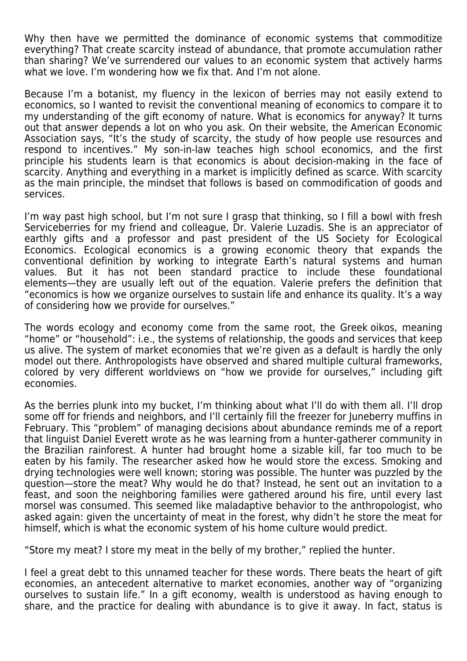Why then have we permitted the dominance of economic systems that commoditize everything? That create scarcity instead of abundance, that promote accumulation rather than sharing? We've surrendered our values to an economic system that actively harms what we love. I'm wondering how we fix that. And I'm not alone.

Because I'm a botanist, my fluency in the lexicon of berries may not easily extend to economics, so I wanted to revisit the conventional meaning of economics to compare it to my understanding of the gift economy of nature. What is economics for anyway? It turns out that answer depends a lot on who you ask. On their website, the American Economic Association says, "It's the study of scarcity, the study of how people use resources and respond to incentives." My son-in-law teaches high school economics, and the first principle his students learn is that economics is about decision-making in the face of scarcity. Anything and everything in a market is implicitly defined as scarce. With scarcity as the main principle, the mindset that follows is based on commodification of goods and services.

I'm way past high school, but I'm not sure I grasp that thinking, so I fill a bowl with fresh Serviceberries for my friend and colleague, Dr. Valerie Luzadis. She is an appreciator of earthly gifts and a professor and past president of the US Society for Ecological Economics. Ecological economics is a growing economic theory that expands the conventional definition by working to integrate Earth's natural systems and human values. But it has not been standard practice to include these foundational elements—they are usually left out of the equation. Valerie prefers the definition that "economics is how we organize ourselves to sustain life and enhance its quality. It's a way of considering how we provide for ourselves."

The words ecology and economy come from the same root, the Greek oikos, meaning "home" or "household": i.e., the systems of relationship, the goods and services that keep us alive. The system of market economies that we're given as a default is hardly the only model out there. Anthropologists have observed and shared multiple cultural frameworks, colored by very different worldviews on "how we provide for ourselves," including gift economies.

As the berries plunk into my bucket, I'm thinking about what I'll do with them all. I'll drop some off for friends and neighbors, and I'll certainly fill the freezer for Juneberry muffins in February. This "problem" of managing decisions about abundance reminds me of a report that linguist Daniel Everett wrote as he was learning from a hunter-gatherer community in the Brazilian rainforest. A hunter had brought home a sizable kill, far too much to be eaten by his family. The researcher asked how he would store the excess. Smoking and drying technologies were well known; storing was possible. The hunter was puzzled by the question—store the meat? Why would he do that? Instead, he sent out an invitation to a feast, and soon the neighboring families were gathered around his fire, until every last morsel was consumed. This seemed like maladaptive behavior to the anthropologist, who asked again: given the uncertainty of meat in the forest, why didn't he store the meat for himself, which is what the economic system of his home culture would predict.

"Store my meat? I store my meat in the belly of my brother," replied the hunter.

I feel a great debt to this unnamed teacher for these words. There beats the heart of gift economies, an antecedent alternative to market economies, another way of "organizing ourselves to sustain life." In a gift economy, wealth is understood as having enough to share, and the practice for dealing with abundance is to give it away. In fact, status is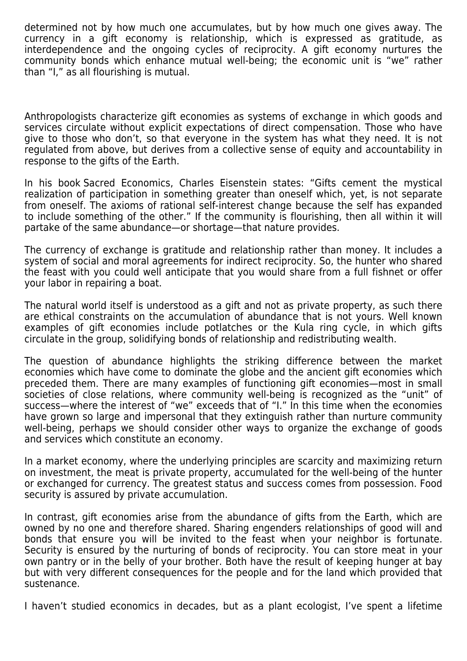determined not by how much one accumulates, but by how much one gives away. The currency in a gift economy is relationship, which is expressed as gratitude, as interdependence and the ongoing cycles of reciprocity. A gift economy nurtures the community bonds which enhance mutual well-being; the economic unit is "we" rather than "I," as all flourishing is mutual.

Anthropologists characterize gift economies as systems of exchange in which goods and services circulate without explicit expectations of direct compensation. Those who have give to those who don't, so that everyone in the system has what they need. It is not regulated from above, but derives from a collective sense of equity and accountability in response to the gifts of the Earth.

In his book Sacred Economics, Charles Eisenstein states: "Gifts cement the mystical realization of participation in something greater than oneself which, yet, is not separate from oneself. The axioms of rational self-interest change because the self has expanded to include something of the other." If the community is flourishing, then all within it will partake of the same abundance—or shortage—that nature provides.

The currency of exchange is gratitude and relationship rather than money. It includes a system of social and moral agreements for indirect reciprocity. So, the hunter who shared the feast with you could well anticipate that you would share from a full fishnet or offer your labor in repairing a boat.

The natural world itself is understood as a gift and not as private property, as such there are ethical constraints on the accumulation of abundance that is not yours. Well known examples of gift economies include potlatches or the Kula ring cycle, in which gifts circulate in the group, solidifying bonds of relationship and redistributing wealth.

The question of abundance highlights the striking difference between the market economies which have come to dominate the globe and the ancient gift economies which preceded them. There are many examples of functioning gift economies—most in small societies of close relations, where community well-being is recognized as the "unit" of success—where the interest of "we" exceeds that of "I." In this time when the economies have grown so large and impersonal that they extinguish rather than nurture community well-being, perhaps we should consider other ways to organize the exchange of goods and services which constitute an economy.

In a market economy, where the underlying principles are scarcity and maximizing return on investment, the meat is private property, accumulated for the well-being of the hunter or exchanged for currency. The greatest status and success comes from possession. Food security is assured by private accumulation.

In contrast, gift economies arise from the abundance of gifts from the Earth, which are owned by no one and therefore shared. Sharing engenders relationships of good will and bonds that ensure you will be invited to the feast when your neighbor is fortunate. Security is ensured by the nurturing of bonds of reciprocity. You can store meat in your own pantry or in the belly of your brother. Both have the result of keeping hunger at bay but with very different consequences for the people and for the land which provided that sustenance.

I haven't studied economics in decades, but as a plant ecologist, I've spent a lifetime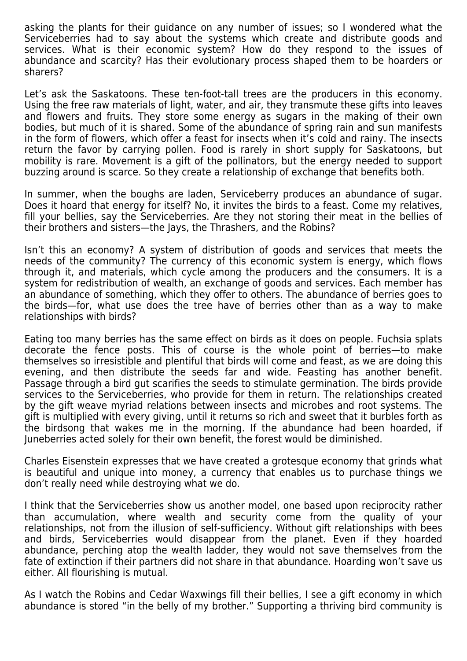asking the plants for their guidance on any number of issues; so I wondered what the Serviceberries had to say about the systems which create and distribute goods and services. What is their economic system? How do they respond to the issues of abundance and scarcity? Has their evolutionary process shaped them to be hoarders or sharers?

Let's ask the Saskatoons. These ten-foot-tall trees are the producers in this economy. Using the free raw materials of light, water, and air, they transmute these gifts into leaves and flowers and fruits. They store some energy as sugars in the making of their own bodies, but much of it is shared. Some of the abundance of spring rain and sun manifests in the form of flowers, which offer a feast for insects when it's cold and rainy. The insects return the favor by carrying pollen. Food is rarely in short supply for Saskatoons, but mobility is rare. Movement is a gift of the pollinators, but the energy needed to support buzzing around is scarce. So they create a relationship of exchange that benefits both.

In summer, when the boughs are laden, Serviceberry produces an abundance of sugar. Does it hoard that energy for itself? No, it invites the birds to a feast. Come my relatives, fill your bellies, say the Serviceberries. Are they not storing their meat in the bellies of their brothers and sisters—the Jays, the Thrashers, and the Robins?

Isn't this an economy? A system of distribution of goods and services that meets the needs of the community? The currency of this economic system is energy, which flows through it, and materials, which cycle among the producers and the consumers. It is a system for redistribution of wealth, an exchange of goods and services. Each member has an abundance of something, which they offer to others. The abundance of berries goes to the birds—for, what use does the tree have of berries other than as a way to make relationships with birds?

Eating too many berries has the same effect on birds as it does on people. Fuchsia splats decorate the fence posts. This of course is the whole point of berries—to make themselves so irresistible and plentiful that birds will come and feast, as we are doing this evening, and then distribute the seeds far and wide. Feasting has another benefit. Passage through a bird gut scarifies the seeds to stimulate germination. The birds provide services to the Serviceberries, who provide for them in return. The relationships created by the gift weave myriad relations between insects and microbes and root systems. The gift is multiplied with every giving, until it returns so rich and sweet that it burbles forth as the birdsong that wakes me in the morning. If the abundance had been hoarded, if Juneberries acted solely for their own benefit, the forest would be diminished.

Charles Eisenstein expresses that we have created a grotesque economy that grinds what is beautiful and unique into money, a currency that enables us to purchase things we don't really need while destroying what we do.

I think that the Serviceberries show us another model, one based upon reciprocity rather than accumulation, where wealth and security come from the quality of your relationships, not from the illusion of self-sufficiency. Without gift relationships with bees and birds, Serviceberries would disappear from the planet. Even if they hoarded abundance, perching atop the wealth ladder, they would not save themselves from the fate of extinction if their partners did not share in that abundance. Hoarding won't save us either. All flourishing is mutual.

As I watch the Robins and Cedar Waxwings fill their bellies, I see a gift economy in which abundance is stored "in the belly of my brother." Supporting a thriving bird community is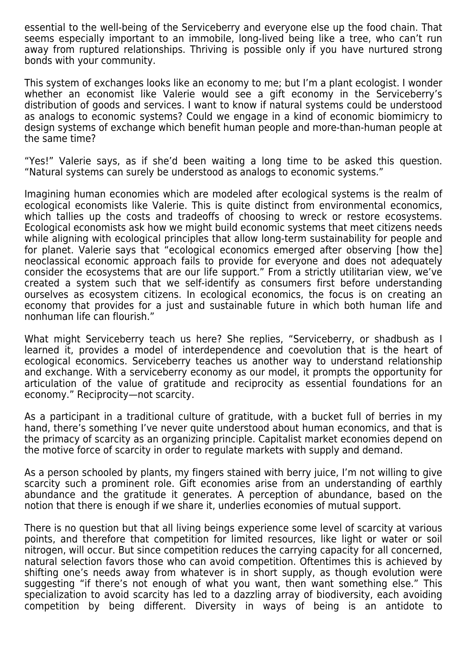essential to the well-being of the Serviceberry and everyone else up the food chain. That seems especially important to an immobile, long-lived being like a tree, who can't run away from ruptured relationships. Thriving is possible only if you have nurtured strong bonds with your community.

This system of exchanges looks like an economy to me; but I'm a plant ecologist. I wonder whether an economist like Valerie would see a gift economy in the Serviceberry's distribution of goods and services. I want to know if natural systems could be understood as analogs to economic systems? Could we engage in a kind of economic biomimicry to design systems of exchange which benefit human people and more-than-human people at the same time?

"Yes!" Valerie says, as if she'd been waiting a long time to be asked this question. "Natural systems can surely be understood as analogs to economic systems."

Imagining human economies which are modeled after ecological systems is the realm of ecological economists like Valerie. This is quite distinct from environmental economics, which tallies up the costs and tradeoffs of choosing to wreck or restore ecosystems. Ecological economists ask how we might build economic systems that meet citizens needs while aligning with ecological principles that allow long-term sustainability for people and for planet. Valerie says that "ecological economics emerged after observing [how the] neoclassical economic approach fails to provide for everyone and does not adequately consider the ecosystems that are our life support." From a strictly utilitarian view, we've created a system such that we self-identify as consumers first before understanding ourselves as ecosystem citizens. In ecological economics, the focus is on creating an economy that provides for a just and sustainable future in which both human life and nonhuman life can flourish."

What might Serviceberry teach us here? She replies, "Serviceberry, or shadbush as I learned it, provides a model of interdependence and coevolution that is the heart of ecological economics. Serviceberry teaches us another way to understand relationship and exchange. With a serviceberry economy as our model, it prompts the opportunity for articulation of the value of gratitude and reciprocity as essential foundations for an economy." Reciprocity—not scarcity.

As a participant in a traditional culture of gratitude, with a bucket full of berries in my hand, there's something I've never quite understood about human economics, and that is the primacy of scarcity as an organizing principle. Capitalist market economies depend on the motive force of scarcity in order to regulate markets with supply and demand.

As a person schooled by plants, my fingers stained with berry juice, I'm not willing to give scarcity such a prominent role. Gift economies arise from an understanding of earthly abundance and the gratitude it generates. A perception of abundance, based on the notion that there is enough if we share it, underlies economies of mutual support.

There is no question but that all living beings experience some level of scarcity at various points, and therefore that competition for limited resources, like light or water or soil nitrogen, will occur. But since competition reduces the carrying capacity for all concerned, natural selection favors those who can avoid competition. Oftentimes this is achieved by shifting one's needs away from whatever is in short supply, as though evolution were suggesting "if there's not enough of what you want, then want something else." This specialization to avoid scarcity has led to a dazzling array of biodiversity, each avoiding competition by being different. Diversity in ways of being is an antidote to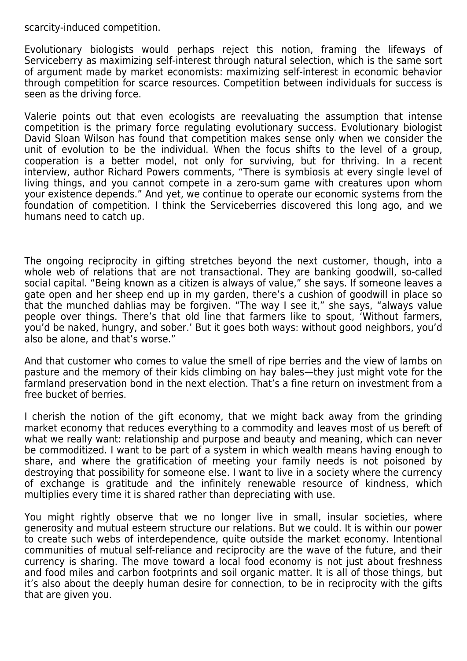scarcity-induced competition.

Evolutionary biologists would perhaps reject this notion, framing the lifeways of Serviceberry as maximizing self-interest through natural selection, which is the same sort of argument made by market economists: maximizing self-interest in economic behavior through competition for scarce resources. Competition between individuals for success is seen as the driving force.

Valerie points out that even ecologists are reevaluating the assumption that intense competition is the primary force regulating evolutionary success. Evolutionary biologist David Sloan Wilson has found that competition makes sense only when we consider the unit of evolution to be the individual. When the focus shifts to the level of a group, cooperation is a better model, not only for surviving, but for thriving. In a recent interview, author Richard Powers comments, "There is symbiosis at every single level of living things, and you cannot compete in a zero-sum game with creatures upon whom your existence depends." And yet, we continue to operate our economic systems from the foundation of competition. I think the Serviceberries discovered this long ago, and we humans need to catch up.

The ongoing reciprocity in gifting stretches beyond the next customer, though, into a whole web of relations that are not transactional. They are banking goodwill, so-called social capital. "Being known as a citizen is always of value," she says. If someone leaves a gate open and her sheep end up in my garden, there's a cushion of goodwill in place so that the munched dahlias may be forgiven. "The way I see it," she says, "always value people over things. There's that old line that farmers like to spout, 'Without farmers, you'd be naked, hungry, and sober.' But it goes both ways: without good neighbors, you'd also be alone, and that's worse."

And that customer who comes to value the smell of ripe berries and the view of lambs on pasture and the memory of their kids climbing on hay bales—they just might vote for the farmland preservation bond in the next election. That's a fine return on investment from a free bucket of berries.

I cherish the notion of the gift economy, that we might back away from the grinding market economy that reduces everything to a commodity and leaves most of us bereft of what we really want: relationship and purpose and beauty and meaning, which can never be commoditized. I want to be part of a system in which wealth means having enough to share, and where the gratification of meeting your family needs is not poisoned by destroying that possibility for someone else. I want to live in a society where the currency of exchange is gratitude and the infinitely renewable resource of kindness, which multiplies every time it is shared rather than depreciating with use.

You might rightly observe that we no longer live in small, insular societies, where generosity and mutual esteem structure our relations. But we could. It is within our power to create such webs of interdependence, quite outside the market economy. Intentional communities of mutual self-reliance and reciprocity are the wave of the future, and their currency is sharing. The move toward a local food economy is not just about freshness and food miles and carbon footprints and soil organic matter. It is all of those things, but it's also about the deeply human desire for connection, to be in reciprocity with the gifts that are given you.